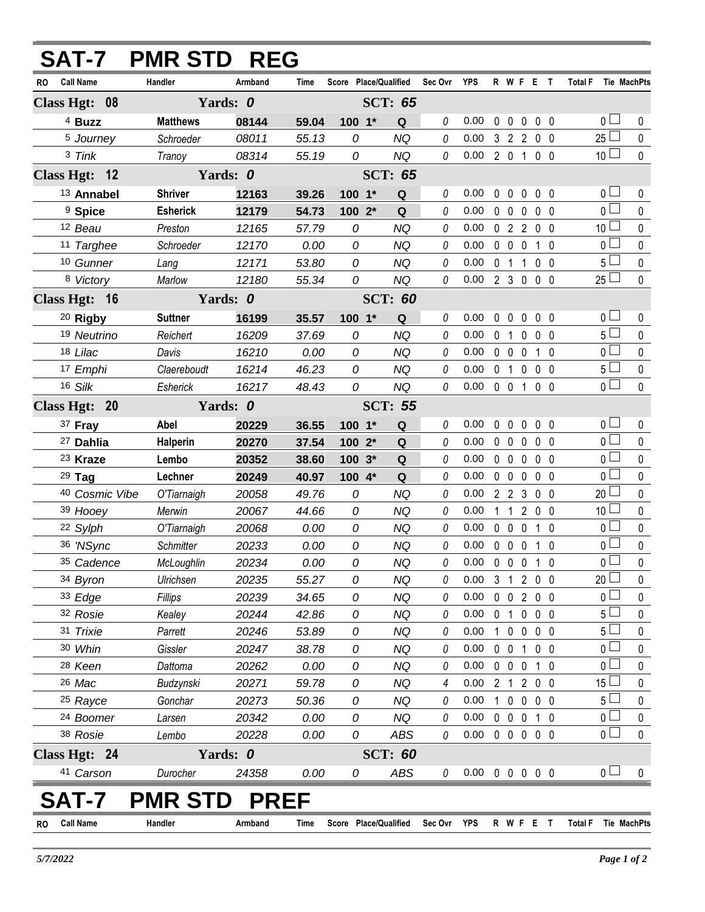| RO Call Name<br>Handler<br>Armband<br>Score Place/Qualified<br>Sec Ovr YPS<br>R W F E T<br>Time<br>Total F Tie MachPts<br>Class Hgt: 08<br>Yards: 0<br><b>SCT: 65</b><br>0 <sup>1</sup><br><sup>4</sup> Buzz<br><b>Matthews</b><br>$100 - 1*$<br>0<br>0.00<br>$\mathbf 0$<br>$\mathbf 0$<br>0 <sub>0</sub><br>$\mathbf{0}$<br>08144<br>59.04<br>Q<br>$\mathbf{0}$<br>$25\Box$<br>$\mathbf 0$<br>5 Journey<br>Schroeder<br>55.13<br><b>NQ</b><br>0<br>0.00<br>3 2 2 0 0<br>08011<br>0<br>10 <sup>1</sup><br>$\mathbf 0$<br>3 Tink<br>0<br>0<br>0.00 2 0 1 0 0<br>08314<br>55.19<br><b>NQ</b><br>Tranoy<br>Yards: 0<br>Class Hgt: 12<br><b>SCT: 65</b><br>0 <sub>l</sub><br><b>Shriver</b><br>13 Annabel<br>0.00<br>$\mathbf 0$<br>0 <sub>0</sub><br>12163<br>39.26<br>100 1*<br>0<br>0<br>0<br>0<br>Q<br>$\overline{0}$<br><sup>9</sup> Spice<br><b>Esherick</b><br>0<br>0.00<br>0<br>12179<br>54.73<br>100 2*<br>Q<br>0 <sub>0</sub><br>$\mathbf 0$<br>0 <sub>0</sub><br>10 <sup>1</sup><br>$\pmb{0}$<br>12 Beau<br>0<br><b>NQ</b><br>0<br>0.00<br>02200<br>Preston<br>12165<br>57.79<br>0 <sub>0</sub><br>0<br>0.00<br>$\pmb{0}$<br>11 Targhee<br>Schroeder<br>12170<br>0.00<br><b>NQ</b><br>0<br>$0\quad 0$<br>$\mathbf 0$<br>$1\quad0$<br>$5\Box$<br>$\mathbf 0$<br>0<br>10 Gunner<br><b>NQ</b><br>0<br>0.00<br>0 <sub>1</sub><br>$100$<br>12171<br>53.80<br>Lang<br>$25\Box$<br>$\mathbf 0$<br>0.00 2 3 0 0 0<br>8 Victory<br>55.34<br>0<br><b>NQ</b><br>0<br>Marlow<br>12180<br>Class Hgt: 16<br>Yards: 0<br><b>SCT: 60</b><br>0 <sub>l</sub><br><sup>20</sup> Rigby<br>$100 - 1*$<br><b>Suttner</b><br>16199<br>35.57<br>0<br>0.00<br>$\mathbf 0$<br>$\mathbf{0}$<br>$\mathbf 0$<br>0 <sub>0</sub><br>0<br>Q<br>5 <sub>1</sub><br>19 Neutrino<br>0<br>Reichert<br>16209<br>0<br><b>NQ</b><br>0<br>0.00<br>0 <sub>1</sub><br>$\mathbf 0$<br>0 <sub>0</sub><br>37.69<br>$\overline{0}$<br>$\mathbf 0$<br>18 Lilac<br>0<br>$0\quad 0\quad 0$<br>0<br><b>NQ</b><br>0.00<br>$1\quad0$<br>Davis<br>16210<br>0.00<br>5 <sub>1</sub><br>$\pmb{0}$<br>0<br>$0$ 1 $0$<br>17 Emphi<br>Claereboudt<br>16214<br>46.23<br>0<br><b>NQ</b><br>0.00<br>0 <sub>0</sub><br>$\overline{0}$<br>$\mathbf{0}$<br>16 Silk<br>0<br>0<br>$0.00 \t0 \t0 \t1 \t0 \t0$<br>Esherick<br><b>NQ</b><br>16217<br>48.43<br>Class Hgt: 20<br>Yards: 0<br><b>SCT: 55</b><br>0 <sub>1</sub><br>37 Fray<br>0<br>$\mathbf 0$<br>$\mathbf 0$<br>Abel<br>20229<br>36.55<br>100 1*<br>Q<br>0.00<br>$\mathbf 0$<br>$\mathbf 0$<br>0 <sub>0</sub><br>$\overline{0}$<br>$\mathbf 0$<br>0<br>$0\quad 0\quad 0$<br>0.00<br>0 <sub>0</sub><br><sup>27</sup> Dahlia<br>Halperin<br>20270<br>37.54<br>$1002*$<br>Q<br>0 <sub>l</sub><br>$0\quad 0\quad 0$<br>0<br>0<br>0.00<br>0 <sub>0</sub><br><sup>23</sup> Kraze<br>Lembo<br>20352<br>$100.3*$<br>Q<br>38.60<br>$\overline{0}$<br>$\mathbf 0$<br>0<br>0.00<br>$0\quad 0$<br>$29$ Tag<br>Lechner<br>$\mathbf 0$<br>$0\quad 0$<br>20249<br>100 4*<br>Q<br>40.97<br>20 <sup>1</sup><br>0<br>40 Cosmic Vibe<br>0<br><b>NQ</b><br>0<br>0.00<br>$2 \t2 \t3$<br>O'Tiarnaigh<br>20058<br>49.76<br>0 <sub>0</sub><br>10 <sup>1</sup><br>$\pmb{0}$<br>39 Hooey<br>0<br><b>NQ</b><br>0<br>0.00<br>$2^{\circ}$<br>$0\quad 0$<br>Merwin<br>20067<br>44.66<br>$1\quad1$<br>$\overline{0}$ $\Box$<br>0<br>22 Sylph<br><b>NQ</b><br>0<br>0.00<br>$0\quad 0$<br>$\overline{0}$<br>$1\quad0$<br>O'Tiarnaigh<br>20068<br>0.00<br>0<br>$\overline{0}$<br>0<br>$\mathbf 0$<br>36 'NSync<br>0<br>0.00<br>0 0 0 1 0<br>20233<br>0.00<br><b>NQ</b><br><b>Schmitter</b><br>$\overline{0}$<br>20234<br>35 Cadence<br>0.00<br><b>NQ</b><br>0.00 0 0 0 1 0<br>McLoughlin<br>0<br>0<br>$20$ $\Box$<br>0<br>34 Byron<br>0.00<br>3 1 2 0 0<br>Ulrichsen<br>20235<br>55.27<br>0<br>NQ<br>0<br>0 <sub>0</sub><br>33 Edge<br>0<br>0.00<br>0 0 2 0 0<br>0<br>Fillips<br>20239<br>34.65<br>0<br><b>NQ</b><br>5 <sub>1</sub><br>32 Rosie<br>0<br>0<br>0<br>0.00<br>0 1 0 0 0<br>Kealey<br>20244<br>42.86<br><b>NQ</b><br>5 <sup>L</sup><br>31 Trixie<br>0.00<br>10000<br>0<br>Parrett<br>20246<br>53.89<br>0<br><b>NQ</b><br>0<br>0 <sub>0</sub><br>$\pmb{0}$<br>30 Whin<br>0<br>0.00<br>0 0 1 0 0<br>Gissler<br>20247<br>38.78<br>0<br><b>NQ</b><br>0 <sub>0</sub><br>0.00<br>$0\quad 0\quad 0$<br>0<br>28 Keen<br>Dattoma<br>20262<br>0.00<br>0<br><b>NQ</b><br>0<br>1 0<br>$15 \Box$<br>26 Mac<br>0<br>4<br>0.00<br>0<br>Budzynski<br>20271<br>59.78<br><b>NQ</b><br>2 1 2 0 0<br>5 <sup>L</sup><br>0.00<br>$1\quad0$<br>$0\quad 0\quad 0$<br><sup>25</sup> Rayce<br>Gonchar<br>20273<br>50.36<br><b>NQ</b><br>0<br>0<br>0<br>0 <sub>0</sub><br>$\pmb{0}$<br>0<br>0<br>0.00<br>0 0 0 1 0<br>24 Boomer<br>20342<br>0.00<br>NQ<br>Larsen<br>$\overline{0}$ $\Box$<br>0.00<br>00000<br>0<br>38 Rosie<br>0<br>0<br>20228<br>0.00<br>ABS<br>Lembo<br>Class Hgt: 24<br>Yards: 0<br><b>SCT: 60</b><br>0 <sub>0</sub><br>ABS<br>$0.00 \t0 \t0 \t0 \t0$<br>41 Carson<br>Durocher<br>24358<br>0.00<br>0<br>0<br>0<br><b>PREF</b><br><b>PMR STD</b><br>Г-7<br>Score Place/Qualified<br>Sec Ovr<br><b>YPS</b><br>R W F E T<br><b>Call Name</b><br>Handler<br>Armband<br><b>Total F</b><br>Tie MachPts<br>Time<br>RO. | <b>SAT-7 PMR STD REG</b> |  |  |  |  |  |  |  |             |
|-------------------------------------------------------------------------------------------------------------------------------------------------------------------------------------------------------------------------------------------------------------------------------------------------------------------------------------------------------------------------------------------------------------------------------------------------------------------------------------------------------------------------------------------------------------------------------------------------------------------------------------------------------------------------------------------------------------------------------------------------------------------------------------------------------------------------------------------------------------------------------------------------------------------------------------------------------------------------------------------------------------------------------------------------------------------------------------------------------------------------------------------------------------------------------------------------------------------------------------------------------------------------------------------------------------------------------------------------------------------------------------------------------------------------------------------------------------------------------------------------------------------------------------------------------------------------------------------------------------------------------------------------------------------------------------------------------------------------------------------------------------------------------------------------------------------------------------------------------------------------------------------------------------------------------------------------------------------------------------------------------------------------------------------------------------------------------------------------------------------------------------------------------------------------------------------------------------------------------------------------------------------------------------------------------------------------------------------------------------------------------------------------------------------------------------------------------------------------------------------------------------------------------------------------------------------------------------------------------------------------------------------------------------------------------------------------------------------------------------------------------------------------------------------------------------------------------------------------------------------------------------------------------------------------------------------------------------------------------------------------------------------------------------------------------------------------------------------------------------------------------------------------------------------------------------------------------------------------------------------------------------------------------------------------------------------------------------------------------------------------------------------------------------------------------------------------------------------------------------------------------------------------------------------------------------------------------------------------------------------------------------------------------------------------------------------------------------------------------------------------------------------------------------------------------------------------------------------------------------------------------------------------------------------------------------------------------------------------------------------------------------------------------------------------------------------------------------------------------------------------------------------------------------------------------------------------------------------------------------------------------------------------------------------------------------------------------------------------------------------------------------------------------------------------------------------------------------------------------------------------------------------------------------------------------------------------------------------------------------------------------------------------------------------------------------------------------------------------------------------------------------------------------------------------------------------------------------------------------------------------------------------------------------------------------------------------------------------------------------------------------------------------------------------------------------------------------------------------------------------------------------------------------------------------------|--------------------------|--|--|--|--|--|--|--|-------------|
|                                                                                                                                                                                                                                                                                                                                                                                                                                                                                                                                                                                                                                                                                                                                                                                                                                                                                                                                                                                                                                                                                                                                                                                                                                                                                                                                                                                                                                                                                                                                                                                                                                                                                                                                                                                                                                                                                                                                                                                                                                                                                                                                                                                                                                                                                                                                                                                                                                                                                                                                                                                                                                                                                                                                                                                                                                                                                                                                                                                                                                                                                                                                                                                                                                                                                                                                                                                                                                                                                                                                                                                                                                                                                                                                                                                                                                                                                                                                                                                                                                                                                                                                                                                                                                                                                                                                                                                                                                                                                                                                                                                                                                                                                                                                                                                                                                                                                                                                                                                                                                                                                                                                                                               |                          |  |  |  |  |  |  |  |             |
|                                                                                                                                                                                                                                                                                                                                                                                                                                                                                                                                                                                                                                                                                                                                                                                                                                                                                                                                                                                                                                                                                                                                                                                                                                                                                                                                                                                                                                                                                                                                                                                                                                                                                                                                                                                                                                                                                                                                                                                                                                                                                                                                                                                                                                                                                                                                                                                                                                                                                                                                                                                                                                                                                                                                                                                                                                                                                                                                                                                                                                                                                                                                                                                                                                                                                                                                                                                                                                                                                                                                                                                                                                                                                                                                                                                                                                                                                                                                                                                                                                                                                                                                                                                                                                                                                                                                                                                                                                                                                                                                                                                                                                                                                                                                                                                                                                                                                                                                                                                                                                                                                                                                                                               |                          |  |  |  |  |  |  |  |             |
|                                                                                                                                                                                                                                                                                                                                                                                                                                                                                                                                                                                                                                                                                                                                                                                                                                                                                                                                                                                                                                                                                                                                                                                                                                                                                                                                                                                                                                                                                                                                                                                                                                                                                                                                                                                                                                                                                                                                                                                                                                                                                                                                                                                                                                                                                                                                                                                                                                                                                                                                                                                                                                                                                                                                                                                                                                                                                                                                                                                                                                                                                                                                                                                                                                                                                                                                                                                                                                                                                                                                                                                                                                                                                                                                                                                                                                                                                                                                                                                                                                                                                                                                                                                                                                                                                                                                                                                                                                                                                                                                                                                                                                                                                                                                                                                                                                                                                                                                                                                                                                                                                                                                                                               |                          |  |  |  |  |  |  |  |             |
|                                                                                                                                                                                                                                                                                                                                                                                                                                                                                                                                                                                                                                                                                                                                                                                                                                                                                                                                                                                                                                                                                                                                                                                                                                                                                                                                                                                                                                                                                                                                                                                                                                                                                                                                                                                                                                                                                                                                                                                                                                                                                                                                                                                                                                                                                                                                                                                                                                                                                                                                                                                                                                                                                                                                                                                                                                                                                                                                                                                                                                                                                                                                                                                                                                                                                                                                                                                                                                                                                                                                                                                                                                                                                                                                                                                                                                                                                                                                                                                                                                                                                                                                                                                                                                                                                                                                                                                                                                                                                                                                                                                                                                                                                                                                                                                                                                                                                                                                                                                                                                                                                                                                                                               |                          |  |  |  |  |  |  |  |             |
|                                                                                                                                                                                                                                                                                                                                                                                                                                                                                                                                                                                                                                                                                                                                                                                                                                                                                                                                                                                                                                                                                                                                                                                                                                                                                                                                                                                                                                                                                                                                                                                                                                                                                                                                                                                                                                                                                                                                                                                                                                                                                                                                                                                                                                                                                                                                                                                                                                                                                                                                                                                                                                                                                                                                                                                                                                                                                                                                                                                                                                                                                                                                                                                                                                                                                                                                                                                                                                                                                                                                                                                                                                                                                                                                                                                                                                                                                                                                                                                                                                                                                                                                                                                                                                                                                                                                                                                                                                                                                                                                                                                                                                                                                                                                                                                                                                                                                                                                                                                                                                                                                                                                                                               |                          |  |  |  |  |  |  |  |             |
|                                                                                                                                                                                                                                                                                                                                                                                                                                                                                                                                                                                                                                                                                                                                                                                                                                                                                                                                                                                                                                                                                                                                                                                                                                                                                                                                                                                                                                                                                                                                                                                                                                                                                                                                                                                                                                                                                                                                                                                                                                                                                                                                                                                                                                                                                                                                                                                                                                                                                                                                                                                                                                                                                                                                                                                                                                                                                                                                                                                                                                                                                                                                                                                                                                                                                                                                                                                                                                                                                                                                                                                                                                                                                                                                                                                                                                                                                                                                                                                                                                                                                                                                                                                                                                                                                                                                                                                                                                                                                                                                                                                                                                                                                                                                                                                                                                                                                                                                                                                                                                                                                                                                                                               |                          |  |  |  |  |  |  |  |             |
|                                                                                                                                                                                                                                                                                                                                                                                                                                                                                                                                                                                                                                                                                                                                                                                                                                                                                                                                                                                                                                                                                                                                                                                                                                                                                                                                                                                                                                                                                                                                                                                                                                                                                                                                                                                                                                                                                                                                                                                                                                                                                                                                                                                                                                                                                                                                                                                                                                                                                                                                                                                                                                                                                                                                                                                                                                                                                                                                                                                                                                                                                                                                                                                                                                                                                                                                                                                                                                                                                                                                                                                                                                                                                                                                                                                                                                                                                                                                                                                                                                                                                                                                                                                                                                                                                                                                                                                                                                                                                                                                                                                                                                                                                                                                                                                                                                                                                                                                                                                                                                                                                                                                                                               |                          |  |  |  |  |  |  |  |             |
|                                                                                                                                                                                                                                                                                                                                                                                                                                                                                                                                                                                                                                                                                                                                                                                                                                                                                                                                                                                                                                                                                                                                                                                                                                                                                                                                                                                                                                                                                                                                                                                                                                                                                                                                                                                                                                                                                                                                                                                                                                                                                                                                                                                                                                                                                                                                                                                                                                                                                                                                                                                                                                                                                                                                                                                                                                                                                                                                                                                                                                                                                                                                                                                                                                                                                                                                                                                                                                                                                                                                                                                                                                                                                                                                                                                                                                                                                                                                                                                                                                                                                                                                                                                                                                                                                                                                                                                                                                                                                                                                                                                                                                                                                                                                                                                                                                                                                                                                                                                                                                                                                                                                                                               |                          |  |  |  |  |  |  |  |             |
|                                                                                                                                                                                                                                                                                                                                                                                                                                                                                                                                                                                                                                                                                                                                                                                                                                                                                                                                                                                                                                                                                                                                                                                                                                                                                                                                                                                                                                                                                                                                                                                                                                                                                                                                                                                                                                                                                                                                                                                                                                                                                                                                                                                                                                                                                                                                                                                                                                                                                                                                                                                                                                                                                                                                                                                                                                                                                                                                                                                                                                                                                                                                                                                                                                                                                                                                                                                                                                                                                                                                                                                                                                                                                                                                                                                                                                                                                                                                                                                                                                                                                                                                                                                                                                                                                                                                                                                                                                                                                                                                                                                                                                                                                                                                                                                                                                                                                                                                                                                                                                                                                                                                                                               |                          |  |  |  |  |  |  |  |             |
|                                                                                                                                                                                                                                                                                                                                                                                                                                                                                                                                                                                                                                                                                                                                                                                                                                                                                                                                                                                                                                                                                                                                                                                                                                                                                                                                                                                                                                                                                                                                                                                                                                                                                                                                                                                                                                                                                                                                                                                                                                                                                                                                                                                                                                                                                                                                                                                                                                                                                                                                                                                                                                                                                                                                                                                                                                                                                                                                                                                                                                                                                                                                                                                                                                                                                                                                                                                                                                                                                                                                                                                                                                                                                                                                                                                                                                                                                                                                                                                                                                                                                                                                                                                                                                                                                                                                                                                                                                                                                                                                                                                                                                                                                                                                                                                                                                                                                                                                                                                                                                                                                                                                                                               |                          |  |  |  |  |  |  |  |             |
|                                                                                                                                                                                                                                                                                                                                                                                                                                                                                                                                                                                                                                                                                                                                                                                                                                                                                                                                                                                                                                                                                                                                                                                                                                                                                                                                                                                                                                                                                                                                                                                                                                                                                                                                                                                                                                                                                                                                                                                                                                                                                                                                                                                                                                                                                                                                                                                                                                                                                                                                                                                                                                                                                                                                                                                                                                                                                                                                                                                                                                                                                                                                                                                                                                                                                                                                                                                                                                                                                                                                                                                                                                                                                                                                                                                                                                                                                                                                                                                                                                                                                                                                                                                                                                                                                                                                                                                                                                                                                                                                                                                                                                                                                                                                                                                                                                                                                                                                                                                                                                                                                                                                                                               |                          |  |  |  |  |  |  |  |             |
|                                                                                                                                                                                                                                                                                                                                                                                                                                                                                                                                                                                                                                                                                                                                                                                                                                                                                                                                                                                                                                                                                                                                                                                                                                                                                                                                                                                                                                                                                                                                                                                                                                                                                                                                                                                                                                                                                                                                                                                                                                                                                                                                                                                                                                                                                                                                                                                                                                                                                                                                                                                                                                                                                                                                                                                                                                                                                                                                                                                                                                                                                                                                                                                                                                                                                                                                                                                                                                                                                                                                                                                                                                                                                                                                                                                                                                                                                                                                                                                                                                                                                                                                                                                                                                                                                                                                                                                                                                                                                                                                                                                                                                                                                                                                                                                                                                                                                                                                                                                                                                                                                                                                                                               |                          |  |  |  |  |  |  |  |             |
|                                                                                                                                                                                                                                                                                                                                                                                                                                                                                                                                                                                                                                                                                                                                                                                                                                                                                                                                                                                                                                                                                                                                                                                                                                                                                                                                                                                                                                                                                                                                                                                                                                                                                                                                                                                                                                                                                                                                                                                                                                                                                                                                                                                                                                                                                                                                                                                                                                                                                                                                                                                                                                                                                                                                                                                                                                                                                                                                                                                                                                                                                                                                                                                                                                                                                                                                                                                                                                                                                                                                                                                                                                                                                                                                                                                                                                                                                                                                                                                                                                                                                                                                                                                                                                                                                                                                                                                                                                                                                                                                                                                                                                                                                                                                                                                                                                                                                                                                                                                                                                                                                                                                                                               |                          |  |  |  |  |  |  |  |             |
|                                                                                                                                                                                                                                                                                                                                                                                                                                                                                                                                                                                                                                                                                                                                                                                                                                                                                                                                                                                                                                                                                                                                                                                                                                                                                                                                                                                                                                                                                                                                                                                                                                                                                                                                                                                                                                                                                                                                                                                                                                                                                                                                                                                                                                                                                                                                                                                                                                                                                                                                                                                                                                                                                                                                                                                                                                                                                                                                                                                                                                                                                                                                                                                                                                                                                                                                                                                                                                                                                                                                                                                                                                                                                                                                                                                                                                                                                                                                                                                                                                                                                                                                                                                                                                                                                                                                                                                                                                                                                                                                                                                                                                                                                                                                                                                                                                                                                                                                                                                                                                                                                                                                                                               |                          |  |  |  |  |  |  |  |             |
|                                                                                                                                                                                                                                                                                                                                                                                                                                                                                                                                                                                                                                                                                                                                                                                                                                                                                                                                                                                                                                                                                                                                                                                                                                                                                                                                                                                                                                                                                                                                                                                                                                                                                                                                                                                                                                                                                                                                                                                                                                                                                                                                                                                                                                                                                                                                                                                                                                                                                                                                                                                                                                                                                                                                                                                                                                                                                                                                                                                                                                                                                                                                                                                                                                                                                                                                                                                                                                                                                                                                                                                                                                                                                                                                                                                                                                                                                                                                                                                                                                                                                                                                                                                                                                                                                                                                                                                                                                                                                                                                                                                                                                                                                                                                                                                                                                                                                                                                                                                                                                                                                                                                                                               |                          |  |  |  |  |  |  |  |             |
|                                                                                                                                                                                                                                                                                                                                                                                                                                                                                                                                                                                                                                                                                                                                                                                                                                                                                                                                                                                                                                                                                                                                                                                                                                                                                                                                                                                                                                                                                                                                                                                                                                                                                                                                                                                                                                                                                                                                                                                                                                                                                                                                                                                                                                                                                                                                                                                                                                                                                                                                                                                                                                                                                                                                                                                                                                                                                                                                                                                                                                                                                                                                                                                                                                                                                                                                                                                                                                                                                                                                                                                                                                                                                                                                                                                                                                                                                                                                                                                                                                                                                                                                                                                                                                                                                                                                                                                                                                                                                                                                                                                                                                                                                                                                                                                                                                                                                                                                                                                                                                                                                                                                                                               |                          |  |  |  |  |  |  |  |             |
|                                                                                                                                                                                                                                                                                                                                                                                                                                                                                                                                                                                                                                                                                                                                                                                                                                                                                                                                                                                                                                                                                                                                                                                                                                                                                                                                                                                                                                                                                                                                                                                                                                                                                                                                                                                                                                                                                                                                                                                                                                                                                                                                                                                                                                                                                                                                                                                                                                                                                                                                                                                                                                                                                                                                                                                                                                                                                                                                                                                                                                                                                                                                                                                                                                                                                                                                                                                                                                                                                                                                                                                                                                                                                                                                                                                                                                                                                                                                                                                                                                                                                                                                                                                                                                                                                                                                                                                                                                                                                                                                                                                                                                                                                                                                                                                                                                                                                                                                                                                                                                                                                                                                                                               |                          |  |  |  |  |  |  |  |             |
|                                                                                                                                                                                                                                                                                                                                                                                                                                                                                                                                                                                                                                                                                                                                                                                                                                                                                                                                                                                                                                                                                                                                                                                                                                                                                                                                                                                                                                                                                                                                                                                                                                                                                                                                                                                                                                                                                                                                                                                                                                                                                                                                                                                                                                                                                                                                                                                                                                                                                                                                                                                                                                                                                                                                                                                                                                                                                                                                                                                                                                                                                                                                                                                                                                                                                                                                                                                                                                                                                                                                                                                                                                                                                                                                                                                                                                                                                                                                                                                                                                                                                                                                                                                                                                                                                                                                                                                                                                                                                                                                                                                                                                                                                                                                                                                                                                                                                                                                                                                                                                                                                                                                                                               |                          |  |  |  |  |  |  |  |             |
|                                                                                                                                                                                                                                                                                                                                                                                                                                                                                                                                                                                                                                                                                                                                                                                                                                                                                                                                                                                                                                                                                                                                                                                                                                                                                                                                                                                                                                                                                                                                                                                                                                                                                                                                                                                                                                                                                                                                                                                                                                                                                                                                                                                                                                                                                                                                                                                                                                                                                                                                                                                                                                                                                                                                                                                                                                                                                                                                                                                                                                                                                                                                                                                                                                                                                                                                                                                                                                                                                                                                                                                                                                                                                                                                                                                                                                                                                                                                                                                                                                                                                                                                                                                                                                                                                                                                                                                                                                                                                                                                                                                                                                                                                                                                                                                                                                                                                                                                                                                                                                                                                                                                                                               |                          |  |  |  |  |  |  |  |             |
|                                                                                                                                                                                                                                                                                                                                                                                                                                                                                                                                                                                                                                                                                                                                                                                                                                                                                                                                                                                                                                                                                                                                                                                                                                                                                                                                                                                                                                                                                                                                                                                                                                                                                                                                                                                                                                                                                                                                                                                                                                                                                                                                                                                                                                                                                                                                                                                                                                                                                                                                                                                                                                                                                                                                                                                                                                                                                                                                                                                                                                                                                                                                                                                                                                                                                                                                                                                                                                                                                                                                                                                                                                                                                                                                                                                                                                                                                                                                                                                                                                                                                                                                                                                                                                                                                                                                                                                                                                                                                                                                                                                                                                                                                                                                                                                                                                                                                                                                                                                                                                                                                                                                                                               |                          |  |  |  |  |  |  |  |             |
|                                                                                                                                                                                                                                                                                                                                                                                                                                                                                                                                                                                                                                                                                                                                                                                                                                                                                                                                                                                                                                                                                                                                                                                                                                                                                                                                                                                                                                                                                                                                                                                                                                                                                                                                                                                                                                                                                                                                                                                                                                                                                                                                                                                                                                                                                                                                                                                                                                                                                                                                                                                                                                                                                                                                                                                                                                                                                                                                                                                                                                                                                                                                                                                                                                                                                                                                                                                                                                                                                                                                                                                                                                                                                                                                                                                                                                                                                                                                                                                                                                                                                                                                                                                                                                                                                                                                                                                                                                                                                                                                                                                                                                                                                                                                                                                                                                                                                                                                                                                                                                                                                                                                                                               |                          |  |  |  |  |  |  |  |             |
|                                                                                                                                                                                                                                                                                                                                                                                                                                                                                                                                                                                                                                                                                                                                                                                                                                                                                                                                                                                                                                                                                                                                                                                                                                                                                                                                                                                                                                                                                                                                                                                                                                                                                                                                                                                                                                                                                                                                                                                                                                                                                                                                                                                                                                                                                                                                                                                                                                                                                                                                                                                                                                                                                                                                                                                                                                                                                                                                                                                                                                                                                                                                                                                                                                                                                                                                                                                                                                                                                                                                                                                                                                                                                                                                                                                                                                                                                                                                                                                                                                                                                                                                                                                                                                                                                                                                                                                                                                                                                                                                                                                                                                                                                                                                                                                                                                                                                                                                                                                                                                                                                                                                                                               |                          |  |  |  |  |  |  |  |             |
|                                                                                                                                                                                                                                                                                                                                                                                                                                                                                                                                                                                                                                                                                                                                                                                                                                                                                                                                                                                                                                                                                                                                                                                                                                                                                                                                                                                                                                                                                                                                                                                                                                                                                                                                                                                                                                                                                                                                                                                                                                                                                                                                                                                                                                                                                                                                                                                                                                                                                                                                                                                                                                                                                                                                                                                                                                                                                                                                                                                                                                                                                                                                                                                                                                                                                                                                                                                                                                                                                                                                                                                                                                                                                                                                                                                                                                                                                                                                                                                                                                                                                                                                                                                                                                                                                                                                                                                                                                                                                                                                                                                                                                                                                                                                                                                                                                                                                                                                                                                                                                                                                                                                                                               |                          |  |  |  |  |  |  |  |             |
|                                                                                                                                                                                                                                                                                                                                                                                                                                                                                                                                                                                                                                                                                                                                                                                                                                                                                                                                                                                                                                                                                                                                                                                                                                                                                                                                                                                                                                                                                                                                                                                                                                                                                                                                                                                                                                                                                                                                                                                                                                                                                                                                                                                                                                                                                                                                                                                                                                                                                                                                                                                                                                                                                                                                                                                                                                                                                                                                                                                                                                                                                                                                                                                                                                                                                                                                                                                                                                                                                                                                                                                                                                                                                                                                                                                                                                                                                                                                                                                                                                                                                                                                                                                                                                                                                                                                                                                                                                                                                                                                                                                                                                                                                                                                                                                                                                                                                                                                                                                                                                                                                                                                                                               |                          |  |  |  |  |  |  |  |             |
|                                                                                                                                                                                                                                                                                                                                                                                                                                                                                                                                                                                                                                                                                                                                                                                                                                                                                                                                                                                                                                                                                                                                                                                                                                                                                                                                                                                                                                                                                                                                                                                                                                                                                                                                                                                                                                                                                                                                                                                                                                                                                                                                                                                                                                                                                                                                                                                                                                                                                                                                                                                                                                                                                                                                                                                                                                                                                                                                                                                                                                                                                                                                                                                                                                                                                                                                                                                                                                                                                                                                                                                                                                                                                                                                                                                                                                                                                                                                                                                                                                                                                                                                                                                                                                                                                                                                                                                                                                                                                                                                                                                                                                                                                                                                                                                                                                                                                                                                                                                                                                                                                                                                                                               |                          |  |  |  |  |  |  |  |             |
|                                                                                                                                                                                                                                                                                                                                                                                                                                                                                                                                                                                                                                                                                                                                                                                                                                                                                                                                                                                                                                                                                                                                                                                                                                                                                                                                                                                                                                                                                                                                                                                                                                                                                                                                                                                                                                                                                                                                                                                                                                                                                                                                                                                                                                                                                                                                                                                                                                                                                                                                                                                                                                                                                                                                                                                                                                                                                                                                                                                                                                                                                                                                                                                                                                                                                                                                                                                                                                                                                                                                                                                                                                                                                                                                                                                                                                                                                                                                                                                                                                                                                                                                                                                                                                                                                                                                                                                                                                                                                                                                                                                                                                                                                                                                                                                                                                                                                                                                                                                                                                                                                                                                                                               |                          |  |  |  |  |  |  |  |             |
|                                                                                                                                                                                                                                                                                                                                                                                                                                                                                                                                                                                                                                                                                                                                                                                                                                                                                                                                                                                                                                                                                                                                                                                                                                                                                                                                                                                                                                                                                                                                                                                                                                                                                                                                                                                                                                                                                                                                                                                                                                                                                                                                                                                                                                                                                                                                                                                                                                                                                                                                                                                                                                                                                                                                                                                                                                                                                                                                                                                                                                                                                                                                                                                                                                                                                                                                                                                                                                                                                                                                                                                                                                                                                                                                                                                                                                                                                                                                                                                                                                                                                                                                                                                                                                                                                                                                                                                                                                                                                                                                                                                                                                                                                                                                                                                                                                                                                                                                                                                                                                                                                                                                                                               |                          |  |  |  |  |  |  |  |             |
|                                                                                                                                                                                                                                                                                                                                                                                                                                                                                                                                                                                                                                                                                                                                                                                                                                                                                                                                                                                                                                                                                                                                                                                                                                                                                                                                                                                                                                                                                                                                                                                                                                                                                                                                                                                                                                                                                                                                                                                                                                                                                                                                                                                                                                                                                                                                                                                                                                                                                                                                                                                                                                                                                                                                                                                                                                                                                                                                                                                                                                                                                                                                                                                                                                                                                                                                                                                                                                                                                                                                                                                                                                                                                                                                                                                                                                                                                                                                                                                                                                                                                                                                                                                                                                                                                                                                                                                                                                                                                                                                                                                                                                                                                                                                                                                                                                                                                                                                                                                                                                                                                                                                                                               |                          |  |  |  |  |  |  |  | $\mathbf 0$ |
|                                                                                                                                                                                                                                                                                                                                                                                                                                                                                                                                                                                                                                                                                                                                                                                                                                                                                                                                                                                                                                                                                                                                                                                                                                                                                                                                                                                                                                                                                                                                                                                                                                                                                                                                                                                                                                                                                                                                                                                                                                                                                                                                                                                                                                                                                                                                                                                                                                                                                                                                                                                                                                                                                                                                                                                                                                                                                                                                                                                                                                                                                                                                                                                                                                                                                                                                                                                                                                                                                                                                                                                                                                                                                                                                                                                                                                                                                                                                                                                                                                                                                                                                                                                                                                                                                                                                                                                                                                                                                                                                                                                                                                                                                                                                                                                                                                                                                                                                                                                                                                                                                                                                                                               |                          |  |  |  |  |  |  |  |             |
|                                                                                                                                                                                                                                                                                                                                                                                                                                                                                                                                                                                                                                                                                                                                                                                                                                                                                                                                                                                                                                                                                                                                                                                                                                                                                                                                                                                                                                                                                                                                                                                                                                                                                                                                                                                                                                                                                                                                                                                                                                                                                                                                                                                                                                                                                                                                                                                                                                                                                                                                                                                                                                                                                                                                                                                                                                                                                                                                                                                                                                                                                                                                                                                                                                                                                                                                                                                                                                                                                                                                                                                                                                                                                                                                                                                                                                                                                                                                                                                                                                                                                                                                                                                                                                                                                                                                                                                                                                                                                                                                                                                                                                                                                                                                                                                                                                                                                                                                                                                                                                                                                                                                                                               |                          |  |  |  |  |  |  |  |             |
|                                                                                                                                                                                                                                                                                                                                                                                                                                                                                                                                                                                                                                                                                                                                                                                                                                                                                                                                                                                                                                                                                                                                                                                                                                                                                                                                                                                                                                                                                                                                                                                                                                                                                                                                                                                                                                                                                                                                                                                                                                                                                                                                                                                                                                                                                                                                                                                                                                                                                                                                                                                                                                                                                                                                                                                                                                                                                                                                                                                                                                                                                                                                                                                                                                                                                                                                                                                                                                                                                                                                                                                                                                                                                                                                                                                                                                                                                                                                                                                                                                                                                                                                                                                                                                                                                                                                                                                                                                                                                                                                                                                                                                                                                                                                                                                                                                                                                                                                                                                                                                                                                                                                                                               |                          |  |  |  |  |  |  |  |             |
|                                                                                                                                                                                                                                                                                                                                                                                                                                                                                                                                                                                                                                                                                                                                                                                                                                                                                                                                                                                                                                                                                                                                                                                                                                                                                                                                                                                                                                                                                                                                                                                                                                                                                                                                                                                                                                                                                                                                                                                                                                                                                                                                                                                                                                                                                                                                                                                                                                                                                                                                                                                                                                                                                                                                                                                                                                                                                                                                                                                                                                                                                                                                                                                                                                                                                                                                                                                                                                                                                                                                                                                                                                                                                                                                                                                                                                                                                                                                                                                                                                                                                                                                                                                                                                                                                                                                                                                                                                                                                                                                                                                                                                                                                                                                                                                                                                                                                                                                                                                                                                                                                                                                                                               |                          |  |  |  |  |  |  |  |             |
|                                                                                                                                                                                                                                                                                                                                                                                                                                                                                                                                                                                                                                                                                                                                                                                                                                                                                                                                                                                                                                                                                                                                                                                                                                                                                                                                                                                                                                                                                                                                                                                                                                                                                                                                                                                                                                                                                                                                                                                                                                                                                                                                                                                                                                                                                                                                                                                                                                                                                                                                                                                                                                                                                                                                                                                                                                                                                                                                                                                                                                                                                                                                                                                                                                                                                                                                                                                                                                                                                                                                                                                                                                                                                                                                                                                                                                                                                                                                                                                                                                                                                                                                                                                                                                                                                                                                                                                                                                                                                                                                                                                                                                                                                                                                                                                                                                                                                                                                                                                                                                                                                                                                                                               |                          |  |  |  |  |  |  |  |             |
|                                                                                                                                                                                                                                                                                                                                                                                                                                                                                                                                                                                                                                                                                                                                                                                                                                                                                                                                                                                                                                                                                                                                                                                                                                                                                                                                                                                                                                                                                                                                                                                                                                                                                                                                                                                                                                                                                                                                                                                                                                                                                                                                                                                                                                                                                                                                                                                                                                                                                                                                                                                                                                                                                                                                                                                                                                                                                                                                                                                                                                                                                                                                                                                                                                                                                                                                                                                                                                                                                                                                                                                                                                                                                                                                                                                                                                                                                                                                                                                                                                                                                                                                                                                                                                                                                                                                                                                                                                                                                                                                                                                                                                                                                                                                                                                                                                                                                                                                                                                                                                                                                                                                                                               |                          |  |  |  |  |  |  |  |             |
|                                                                                                                                                                                                                                                                                                                                                                                                                                                                                                                                                                                                                                                                                                                                                                                                                                                                                                                                                                                                                                                                                                                                                                                                                                                                                                                                                                                                                                                                                                                                                                                                                                                                                                                                                                                                                                                                                                                                                                                                                                                                                                                                                                                                                                                                                                                                                                                                                                                                                                                                                                                                                                                                                                                                                                                                                                                                                                                                                                                                                                                                                                                                                                                                                                                                                                                                                                                                                                                                                                                                                                                                                                                                                                                                                                                                                                                                                                                                                                                                                                                                                                                                                                                                                                                                                                                                                                                                                                                                                                                                                                                                                                                                                                                                                                                                                                                                                                                                                                                                                                                                                                                                                                               |                          |  |  |  |  |  |  |  |             |
|                                                                                                                                                                                                                                                                                                                                                                                                                                                                                                                                                                                                                                                                                                                                                                                                                                                                                                                                                                                                                                                                                                                                                                                                                                                                                                                                                                                                                                                                                                                                                                                                                                                                                                                                                                                                                                                                                                                                                                                                                                                                                                                                                                                                                                                                                                                                                                                                                                                                                                                                                                                                                                                                                                                                                                                                                                                                                                                                                                                                                                                                                                                                                                                                                                                                                                                                                                                                                                                                                                                                                                                                                                                                                                                                                                                                                                                                                                                                                                                                                                                                                                                                                                                                                                                                                                                                                                                                                                                                                                                                                                                                                                                                                                                                                                                                                                                                                                                                                                                                                                                                                                                                                                               |                          |  |  |  |  |  |  |  |             |
|                                                                                                                                                                                                                                                                                                                                                                                                                                                                                                                                                                                                                                                                                                                                                                                                                                                                                                                                                                                                                                                                                                                                                                                                                                                                                                                                                                                                                                                                                                                                                                                                                                                                                                                                                                                                                                                                                                                                                                                                                                                                                                                                                                                                                                                                                                                                                                                                                                                                                                                                                                                                                                                                                                                                                                                                                                                                                                                                                                                                                                                                                                                                                                                                                                                                                                                                                                                                                                                                                                                                                                                                                                                                                                                                                                                                                                                                                                                                                                                                                                                                                                                                                                                                                                                                                                                                                                                                                                                                                                                                                                                                                                                                                                                                                                                                                                                                                                                                                                                                                                                                                                                                                                               |                          |  |  |  |  |  |  |  |             |
|                                                                                                                                                                                                                                                                                                                                                                                                                                                                                                                                                                                                                                                                                                                                                                                                                                                                                                                                                                                                                                                                                                                                                                                                                                                                                                                                                                                                                                                                                                                                                                                                                                                                                                                                                                                                                                                                                                                                                                                                                                                                                                                                                                                                                                                                                                                                                                                                                                                                                                                                                                                                                                                                                                                                                                                                                                                                                                                                                                                                                                                                                                                                                                                                                                                                                                                                                                                                                                                                                                                                                                                                                                                                                                                                                                                                                                                                                                                                                                                                                                                                                                                                                                                                                                                                                                                                                                                                                                                                                                                                                                                                                                                                                                                                                                                                                                                                                                                                                                                                                                                                                                                                                                               |                          |  |  |  |  |  |  |  |             |
|                                                                                                                                                                                                                                                                                                                                                                                                                                                                                                                                                                                                                                                                                                                                                                                                                                                                                                                                                                                                                                                                                                                                                                                                                                                                                                                                                                                                                                                                                                                                                                                                                                                                                                                                                                                                                                                                                                                                                                                                                                                                                                                                                                                                                                                                                                                                                                                                                                                                                                                                                                                                                                                                                                                                                                                                                                                                                                                                                                                                                                                                                                                                                                                                                                                                                                                                                                                                                                                                                                                                                                                                                                                                                                                                                                                                                                                                                                                                                                                                                                                                                                                                                                                                                                                                                                                                                                                                                                                                                                                                                                                                                                                                                                                                                                                                                                                                                                                                                                                                                                                                                                                                                                               |                          |  |  |  |  |  |  |  |             |
|                                                                                                                                                                                                                                                                                                                                                                                                                                                                                                                                                                                                                                                                                                                                                                                                                                                                                                                                                                                                                                                                                                                                                                                                                                                                                                                                                                                                                                                                                                                                                                                                                                                                                                                                                                                                                                                                                                                                                                                                                                                                                                                                                                                                                                                                                                                                                                                                                                                                                                                                                                                                                                                                                                                                                                                                                                                                                                                                                                                                                                                                                                                                                                                                                                                                                                                                                                                                                                                                                                                                                                                                                                                                                                                                                                                                                                                                                                                                                                                                                                                                                                                                                                                                                                                                                                                                                                                                                                                                                                                                                                                                                                                                                                                                                                                                                                                                                                                                                                                                                                                                                                                                                                               |                          |  |  |  |  |  |  |  |             |
|                                                                                                                                                                                                                                                                                                                                                                                                                                                                                                                                                                                                                                                                                                                                                                                                                                                                                                                                                                                                                                                                                                                                                                                                                                                                                                                                                                                                                                                                                                                                                                                                                                                                                                                                                                                                                                                                                                                                                                                                                                                                                                                                                                                                                                                                                                                                                                                                                                                                                                                                                                                                                                                                                                                                                                                                                                                                                                                                                                                                                                                                                                                                                                                                                                                                                                                                                                                                                                                                                                                                                                                                                                                                                                                                                                                                                                                                                                                                                                                                                                                                                                                                                                                                                                                                                                                                                                                                                                                                                                                                                                                                                                                                                                                                                                                                                                                                                                                                                                                                                                                                                                                                                                               |                          |  |  |  |  |  |  |  |             |
|                                                                                                                                                                                                                                                                                                                                                                                                                                                                                                                                                                                                                                                                                                                                                                                                                                                                                                                                                                                                                                                                                                                                                                                                                                                                                                                                                                                                                                                                                                                                                                                                                                                                                                                                                                                                                                                                                                                                                                                                                                                                                                                                                                                                                                                                                                                                                                                                                                                                                                                                                                                                                                                                                                                                                                                                                                                                                                                                                                                                                                                                                                                                                                                                                                                                                                                                                                                                                                                                                                                                                                                                                                                                                                                                                                                                                                                                                                                                                                                                                                                                                                                                                                                                                                                                                                                                                                                                                                                                                                                                                                                                                                                                                                                                                                                                                                                                                                                                                                                                                                                                                                                                                                               |                          |  |  |  |  |  |  |  |             |